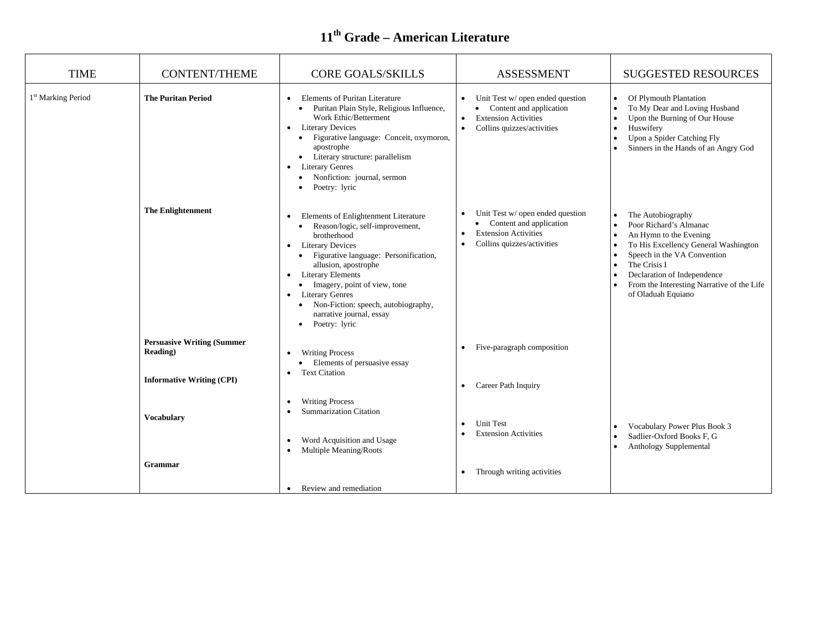| <b>TIME</b>                    | <b>CONTENT/THEME</b>                                                              | <b>CORE GOALS/SKILLS</b>                                                                                                                                                                                                                                                                                                                                                                                                | <b>ASSESSMENT</b>                                                                                                                                                 | <b>SUGGESTED RESOURCES</b>                                                                                                                                                                                                                                                   |
|--------------------------------|-----------------------------------------------------------------------------------|-------------------------------------------------------------------------------------------------------------------------------------------------------------------------------------------------------------------------------------------------------------------------------------------------------------------------------------------------------------------------------------------------------------------------|-------------------------------------------------------------------------------------------------------------------------------------------------------------------|------------------------------------------------------------------------------------------------------------------------------------------------------------------------------------------------------------------------------------------------------------------------------|
| 1 <sup>st</sup> Marking Period | <b>The Puritan Period</b>                                                         | <b>Elements of Puritan Literature</b><br>$\bullet$<br>Puritan Plain Style, Religious Influence,<br>Work Ethic/Betterment<br><b>Literary Devices</b><br>$\bullet$<br>Figurative language: Conceit, oxymoron,<br>$\bullet$<br>apostrophe<br>Literary structure: parallelism<br>$\bullet$<br><b>Literary Genres</b><br>$\bullet$<br>Nonfiction: journal, sermon<br>Poetry: lyric                                           | Unit Test w/ open ended question<br>$\bullet$<br>• Content and application<br><b>Extension Activities</b><br>$\bullet$<br>Collins quizzes/activities<br>$\bullet$ | Of Plymouth Plantation<br>$\bullet$<br>To My Dear and Loving Husband<br>$\bullet$<br>Upon the Burning of Our House<br>Huswifery<br>$\bullet$<br>Upon a Spider Catching Fly<br>Sinners in the Hands of an Angry God                                                           |
|                                | <b>The Enlightenment</b>                                                          | Elements of Enlightenment Literature<br>٠<br>Reason/logic, self-improvement,<br>brotherhood<br><b>Literary Devices</b><br>$\bullet$<br>Figurative language: Personification,<br>allusion, apostrophe<br><b>Literary Elements</b><br>$\bullet$<br>Imagery, point of view, tone<br><b>Literary Genres</b><br>$\bullet$<br>• Non-Fiction: speech, autobiography,<br>narrative journal, essay<br>Poetry: lyric<br>$\bullet$ | Unit Test w/ open ended question<br>• Content and application<br><b>Extension Activities</b><br>Collins quizzes/activities<br>$\bullet$                           | The Autobiography<br>Poor Richard's Almanac<br>An Hymn to the Evening<br>To His Excellency General Washington<br>Speech in the VA Convention<br>The Crisis I<br>Declaration of Independence<br>$\bullet$<br>From the Interesting Narrative of the Life<br>of Oladuah Equiano |
|                                | <b>Persuasive Writing (Summer</b><br>Reading)<br><b>Informative Writing (CPI)</b> | <b>Writing Process</b><br>٠<br>Elements of persuasive essay<br><b>Text Citation</b><br>$\bullet$                                                                                                                                                                                                                                                                                                                        | Five-paragraph composition                                                                                                                                        |                                                                                                                                                                                                                                                                              |
|                                | <b>Vocabulary</b>                                                                 | <b>Writing Process</b><br>$\bullet$<br><b>Summarization Citation</b><br>$\bullet$<br>Word Acquisition and Usage<br>$\bullet$<br>Multiple Meaning/Roots<br>$\bullet$                                                                                                                                                                                                                                                     | Career Path Inquiry<br><b>Unit Test</b><br><b>Extension Activities</b>                                                                                            | Vocabulary Power Plus Book 3<br>Sadlier-Oxford Books F, G<br>Anthology Supplemental                                                                                                                                                                                          |
|                                | <b>Grammar</b>                                                                    | • Review and remediation                                                                                                                                                                                                                                                                                                                                                                                                | Through writing activities                                                                                                                                        |                                                                                                                                                                                                                                                                              |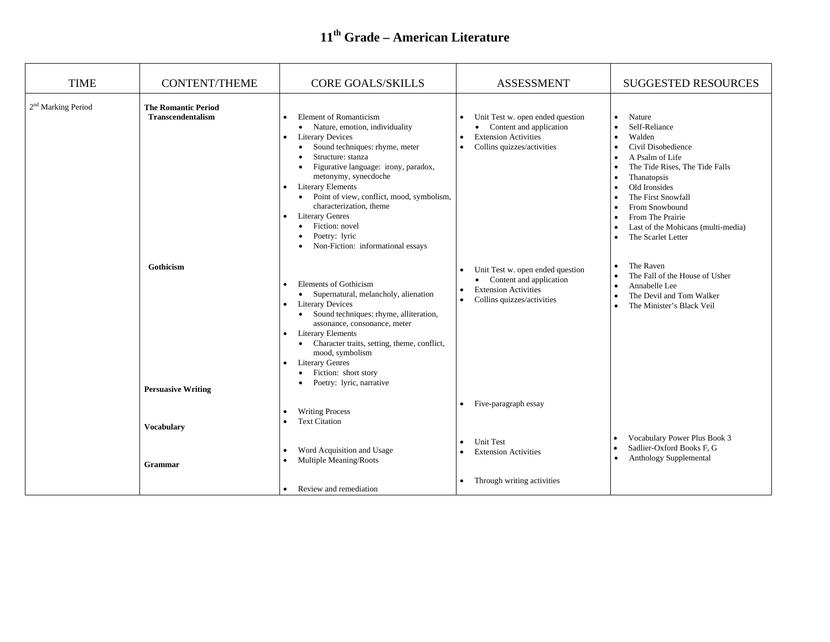| <b>TIME</b>                    | <b>CONTENT/THEME</b>                                   | <b>CORE GOALS/SKILLS</b>                                                                                                                                                                                                                                                                                                                                                                                                                                                                                                                       | <b>ASSESSMENT</b>                                                                                                                                                 | <b>SUGGESTED RESOURCES</b>                                                                                                                                                                                                                                                                                                                                                                |
|--------------------------------|--------------------------------------------------------|------------------------------------------------------------------------------------------------------------------------------------------------------------------------------------------------------------------------------------------------------------------------------------------------------------------------------------------------------------------------------------------------------------------------------------------------------------------------------------------------------------------------------------------------|-------------------------------------------------------------------------------------------------------------------------------------------------------------------|-------------------------------------------------------------------------------------------------------------------------------------------------------------------------------------------------------------------------------------------------------------------------------------------------------------------------------------------------------------------------------------------|
| 2 <sup>nd</sup> Marking Period | <b>The Romantic Period</b><br><b>Transcendentalism</b> | <b>Element of Romanticism</b><br>• Nature, emotion, individuality<br><b>Literary Devices</b><br>$\bullet$<br>Sound techniques: rhyme, meter<br>$\bullet$<br>Structure: stanza<br>Figurative language: irony, paradox,<br>$\bullet$<br>metonymy, synecdoche<br><b>Literary Elements</b><br>$\bullet$<br>Point of view, conflict, mood, symbolism,<br>$\bullet$<br>characterization, theme<br><b>Literary Genres</b><br>$\bullet$<br>Fiction: novel<br>$\bullet$<br>Poetry: lyric<br>$\bullet$<br>Non-Fiction: informational essays<br>$\bullet$ | Unit Test w. open ended question<br>• Content and application<br><b>Extension Activities</b><br>Collins quizzes/activities<br>$\bullet$                           | Nature<br>$\bullet$<br>Self-Reliance<br>$\bullet$<br>Walden<br>$\bullet$<br>Civil Disobedience<br>$\bullet$<br>A Psalm of Life<br>The Tide Rises, The Tide Falls<br>$\bullet$<br>Thanatopsis<br>$\bullet$<br>Old Ironsides<br>$\bullet$<br>The First Snowfall<br>From Snowbound<br>From The Prairie<br>$\bullet$<br>Last of the Mohicans (multi-media)<br>$\bullet$<br>The Scarlet Letter |
|                                | Gothicism<br><b>Persuasive Writing</b>                 | <b>Elements of Gothicism</b><br>• Supernatural, melancholy, alienation<br><b>Literary Devices</b><br>Sound techniques: rhyme, alliteration,<br>$\bullet$<br>assonance, consonance, meter<br><b>Literary Elements</b><br>Character traits, setting, theme, conflict,<br>$\bullet$<br>mood, symbolism<br><b>Literary Genres</b><br>Fiction: short story<br>$\bullet$<br>Poetry: lyric, narrative                                                                                                                                                 | Unit Test w. open ended question<br>$\bullet$<br>• Content and application<br><b>Extension Activities</b><br>$\bullet$<br>Collins quizzes/activities<br>$\bullet$ | The Raven<br>$\bullet$<br>The Fall of the House of Usher<br>Annabelle Lee<br>$\bullet$<br>The Devil and Tom Walker<br>$\bullet$<br>The Minister's Black Veil<br>$\bullet$                                                                                                                                                                                                                 |
|                                | <b>Vocabulary</b>                                      | <b>Writing Process</b><br><b>Text Citation</b>                                                                                                                                                                                                                                                                                                                                                                                                                                                                                                 | • Five-paragraph essay                                                                                                                                            | Vocabulary Power Plus Book 3                                                                                                                                                                                                                                                                                                                                                              |
|                                | Grammar                                                | Word Acquisition and Usage<br>Multiple Meaning/Roots                                                                                                                                                                                                                                                                                                                                                                                                                                                                                           | <b>Unit Test</b><br>$\bullet$<br><b>Extension Activities</b><br>Through writing activities<br>$\bullet$                                                           | Sadlier-Oxford Books F, G<br>Anthology Supplemental                                                                                                                                                                                                                                                                                                                                       |
|                                |                                                        | Review and remediation                                                                                                                                                                                                                                                                                                                                                                                                                                                                                                                         |                                                                                                                                                                   |                                                                                                                                                                                                                                                                                                                                                                                           |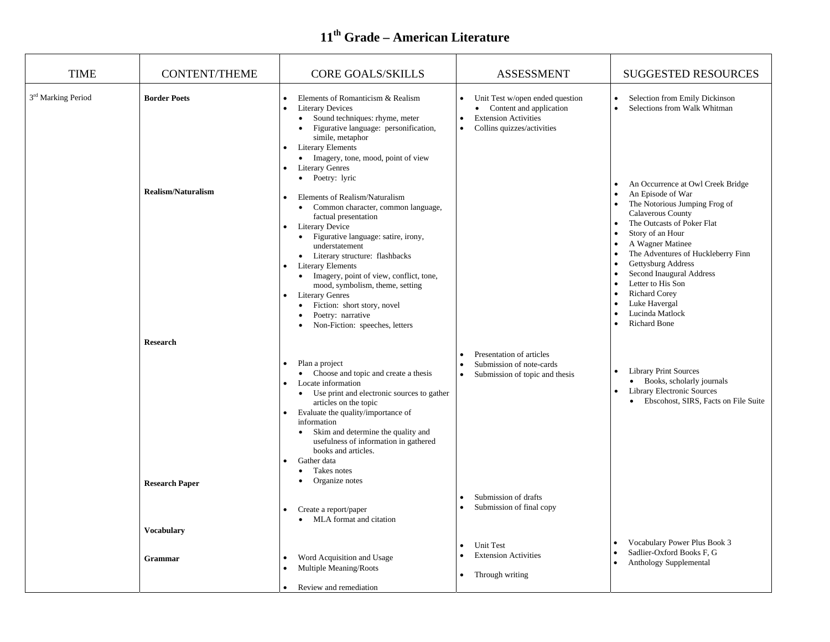| <b>TIME</b>                    | <b>CONTENT/THEME</b>                                          | <b>CORE GOALS/SKILLS</b>                                                                                                                                                                                                                                                                                                                                                                                                                                                                                                                                                                                                                                                                                                                                                                                                                                                                                 | <b>ASSESSMENT</b>                                                                                                                                                           | <b>SUGGESTED RESOURCES</b>                                                                                                                                                                                                                                                                                                                                                                                                                                        |
|--------------------------------|---------------------------------------------------------------|----------------------------------------------------------------------------------------------------------------------------------------------------------------------------------------------------------------------------------------------------------------------------------------------------------------------------------------------------------------------------------------------------------------------------------------------------------------------------------------------------------------------------------------------------------------------------------------------------------------------------------------------------------------------------------------------------------------------------------------------------------------------------------------------------------------------------------------------------------------------------------------------------------|-----------------------------------------------------------------------------------------------------------------------------------------------------------------------------|-------------------------------------------------------------------------------------------------------------------------------------------------------------------------------------------------------------------------------------------------------------------------------------------------------------------------------------------------------------------------------------------------------------------------------------------------------------------|
| 3 <sup>rd</sup> Marking Period | <b>Border Poets</b><br><b>Realism/Naturalism</b>              | Elements of Romanticism & Realism<br>$\bullet$<br>$\bullet$<br><b>Literary Devices</b><br>Sound techniques: rhyme, meter<br>$\bullet$<br>Figurative language: personification,<br>$\bullet$<br>simile, metaphor<br><b>Literary Elements</b><br>$\bullet$<br>Imagery, tone, mood, point of view<br>$\bullet$<br><b>Literary Genres</b><br>• Poetry: lyric<br>Elements of Realism/Naturalism<br>Common character, common language,<br>$\bullet$<br>factual presentation<br>Literary Device<br>$\bullet$<br>Figurative language: satire, irony,<br>$\bullet$<br>understatement<br>Literary structure: flashbacks<br>$\bullet$<br><b>Literary Elements</b><br>Imagery, point of view, conflict, tone,<br>$\bullet$<br>mood, symbolism, theme, setting<br><b>Literary Genres</b><br>$\bullet$<br>Fiction: short story, novel<br>$\bullet$<br>Poetry: narrative<br>Non-Fiction: speeches, letters<br>$\bullet$ | Unit Test w/open ended question<br>• Content and application<br><b>Extension Activities</b><br>$\bullet$<br>Collins quizzes/activities<br>$\bullet$                         | Selection from Emily Dickinson<br>Selections from Walk Whitman<br>$\bullet$<br>An Occurrence at Owl Creek Bridge<br>An Episode of War<br>The Notorious Jumping Frog of<br>Calaverous County<br>The Outcasts of Poker Flat<br>Story of an Hour<br>A Wagner Matinee<br>The Adventures of Huckleberry Finn<br>Gettysburg Address<br>Second Inaugural Address<br>Letter to His Son<br><b>Richard Corey</b><br>Luke Havergal<br>Lucinda Matlock<br><b>Richard Bone</b> |
|                                | <b>Research</b><br><b>Research Paper</b><br><b>Vocabulary</b> | Plan a project<br>• Choose and topic and create a thesis<br>Locate information<br>• Use print and electronic sources to gather<br>articles on the topic<br>Evaluate the quality/importance of<br>$\bullet$<br>information<br>Skim and determine the quality and<br>$\bullet$<br>usefulness of information in gathered<br>books and articles.<br>Gather data<br>$\bullet$<br>Takes notes<br>٠<br>Organize notes<br>Create a report/paper<br>MLA format and citation<br>$\bullet$                                                                                                                                                                                                                                                                                                                                                                                                                          | Presentation of articles<br>Submission of note-cards<br>Submission of topic and thesis<br>$\bullet$<br>Submission of drafts<br>Submission of final copy<br><b>Unit Test</b> | <b>Library Print Sources</b><br>• Books, scholarly journals<br><b>Library Electronic Sources</b><br>Ebscohost, SIRS, Facts on File Suite<br>$\bullet$<br>Vocabulary Power Plus Book 3                                                                                                                                                                                                                                                                             |
|                                | Grammar                                                       | Word Acquisition and Usage<br>Multiple Meaning/Roots<br>Review and remediation                                                                                                                                                                                                                                                                                                                                                                                                                                                                                                                                                                                                                                                                                                                                                                                                                           | <b>Extension Activities</b><br>Through writing                                                                                                                              | Sadlier-Oxford Books F, G<br>Anthology Supplemental                                                                                                                                                                                                                                                                                                                                                                                                               |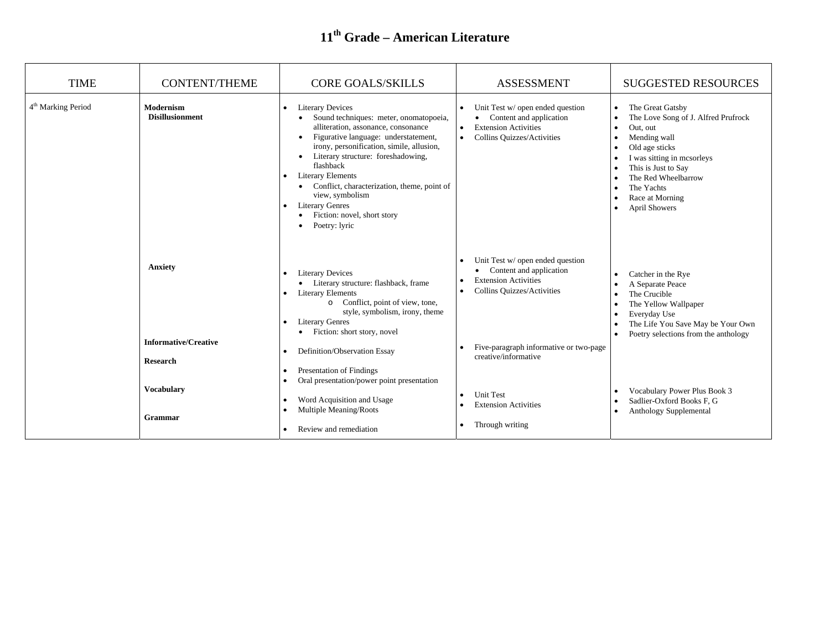| <b>TIME</b>                    | <b>CONTENT/THEME</b>                       | <b>CORE GOALS/SKILLS</b>                                                                                                                                                                                                                                                                                                                                                                                                                                                                                              | <b>ASSESSMENT</b>                                                                                                                                           | <b>SUGGESTED RESOURCES</b>                                                                                                                                                                                                                              |
|--------------------------------|--------------------------------------------|-----------------------------------------------------------------------------------------------------------------------------------------------------------------------------------------------------------------------------------------------------------------------------------------------------------------------------------------------------------------------------------------------------------------------------------------------------------------------------------------------------------------------|-------------------------------------------------------------------------------------------------------------------------------------------------------------|---------------------------------------------------------------------------------------------------------------------------------------------------------------------------------------------------------------------------------------------------------|
| 4 <sup>th</sup> Marking Period | <b>Modernism</b><br><b>Disillusionment</b> | <b>Literary Devices</b><br>$\bullet$<br>Sound techniques: meter, onomatopoeia,<br>alliteration, assonance, consonance<br>Figurative language: understatement,<br>$\bullet$<br>irony, personification, simile, allusion,<br>Literary structure: foreshadowing,<br>$\bullet$<br>flashback<br><b>Literary Elements</b><br>$\bullet$<br>• Conflict, characterization, theme, point of<br>view, symbolism<br><b>Literary Genres</b><br>$\bullet$<br>Fiction: novel, short story<br>$\bullet$<br>Poetry: lyric<br>$\bullet$ | Unit Test w/ open ended question<br>• Content and application<br><b>Extension Activities</b><br>$\bullet$<br><b>Collins Quizzes/Activities</b><br>$\bullet$ | The Great Gatsby<br>$\bullet$<br>The Love Song of J. Alfred Prufrock<br>Out, out<br>Mending wall<br>Old age sticks<br>I was sitting in mcsorleys<br>This is Just to Say<br>The Red Wheelbarrow<br>The Yachts<br>Race at Morning<br><b>April Showers</b> |
|                                | Anxiety                                    | <b>Literary Devices</b><br>$\bullet$<br>• Literary structure: flashback, frame<br><b>Literary Elements</b><br>$\bullet$<br>o Conflict, point of view, tone,<br>style, symbolism, irony, theme<br><b>Literary Genres</b><br>Fiction: short story, novel<br>$\bullet$                                                                                                                                                                                                                                                   | Unit Test w/ open ended question<br>• Content and application<br><b>Extension Activities</b><br>Collins Quizzes/Activities                                  | Catcher in the Rye<br>A Separate Peace<br>The Crucible<br>The Yellow Wallpaper<br>Everyday Use<br>The Life You Save May be Your Own<br>Poetry selections from the anthology                                                                             |
|                                | <b>Informative/Creative</b>                |                                                                                                                                                                                                                                                                                                                                                                                                                                                                                                                       | Five-paragraph informative or two-page                                                                                                                      |                                                                                                                                                                                                                                                         |
|                                | <b>Research</b>                            | Definition/Observation Essay<br>$\bullet$<br><b>Presentation of Findings</b><br>$\bullet$<br>Oral presentation/power point presentation                                                                                                                                                                                                                                                                                                                                                                               | creative/informative                                                                                                                                        |                                                                                                                                                                                                                                                         |
|                                | <b>Vocabulary</b><br>Grammar               | Word Acquisition and Usage<br>$\bullet$<br>Multiple Meaning/Roots                                                                                                                                                                                                                                                                                                                                                                                                                                                     | <b>Unit Test</b><br>$\bullet$<br><b>Extension Activities</b>                                                                                                | Vocabulary Power Plus Book 3<br>Sadlier-Oxford Books F. G<br>Anthology Supplemental                                                                                                                                                                     |
|                                |                                            | Review and remediation<br>$\bullet$                                                                                                                                                                                                                                                                                                                                                                                                                                                                                   | Through writing<br>$\bullet$                                                                                                                                |                                                                                                                                                                                                                                                         |